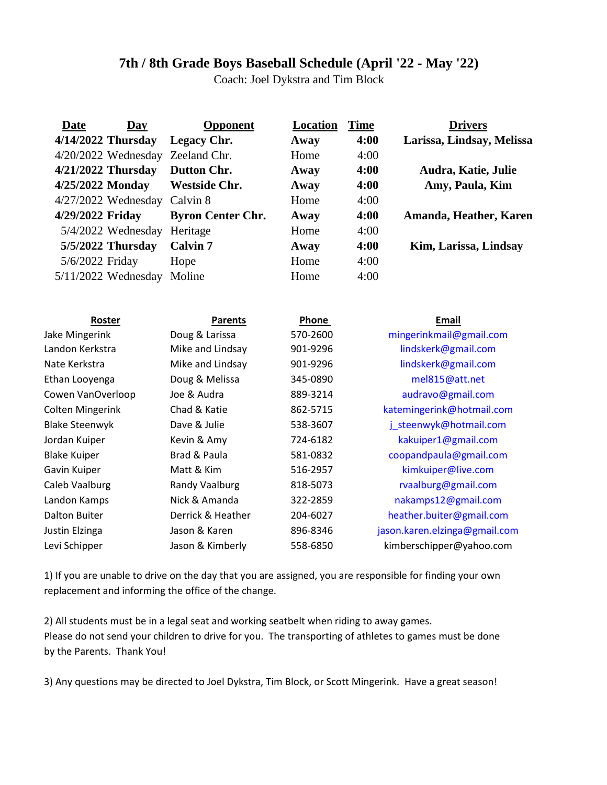## **7th / 8th Grade Boys Baseball Schedule (April '22 - May '22)**

Coach: Joel Dykstra and Tim Block

| <b>Date</b>                      | <b>Day</b> | <b>Opponent</b>          | Location | <b>Time</b> | <b>Drivers</b>                |
|----------------------------------|------------|--------------------------|----------|-------------|-------------------------------|
| 4/14/2022 Thursday               |            | Legacy Chr.              | Away     | 4:00        | Larissa, Lindsay, Melissa     |
| 4/20/2022 Wednesday Zeeland Chr. |            |                          | Home     | 4:00        |                               |
| $4/21/2022$ Thursday             |            | <b>Dutton Chr.</b>       | Away     | 4:00        | Audra, Katie, Julie           |
| 4/25/2022 Monday                 |            | <b>Westside Chr.</b>     | Away     | 4:00        | Amy, Paula, Kim               |
| $4/27/2022$ Wednesday            |            | Calvin 8                 | Home     | 4:00        |                               |
| 4/29/2022 Friday                 |            | <b>Byron Center Chr.</b> | Away     | 4:00        | Amanda, Heather, Karen        |
| 5/4/2022 Wednesday               |            | Heritage                 | Home     | 4:00        |                               |
| 5/5/2022 Thursday                |            | <b>Calvin 7</b>          | Away     | 4:00        | Kim, Larissa, Lindsay         |
| 5/6/2022 Friday                  |            | Hope                     | Home     | 4:00        |                               |
| 5/11/2022 Wednesday              |            | Moline                   | Home     | 4:00        |                               |
|                                  |            |                          |          |             |                               |
| Roster                           |            | <b>Parents</b>           | Phone    |             | Email                         |
| Jake Mingerink                   |            | Doug & Larissa           | 570-2600 |             | mingerinkmail@gmail.com       |
| Landon Kerkstra                  |            | Mike and Lindsay         | 901-9296 |             | lindskerk@gmail.com           |
| Nate Kerkstra                    |            | Mike and Lindsay         | 901-9296 |             | lindskerk@gmail.com           |
| Ethan Looyenga                   |            | Doug & Melissa           | 345-0890 |             | mel815@att.net                |
| Cowen VanOverloop                |            | Joe & Audra              | 889-3214 |             | audravo@gmail.com             |
| <b>Colten Mingerink</b>          |            | Chad & Katie             | 862-5715 |             | katemingerink@hotmail.com     |
| <b>Blake Steenwyk</b>            |            | Dave & Julie             | 538-3607 |             | j_steenwyk@hotmail.com        |
| Jordan Kuiper                    |            | Kevin & Amy              | 724-6182 |             | kakuiper1@gmail.com           |
| <b>Blake Kuiper</b>              |            | Brad & Paula             | 581-0832 |             | coopandpaula@gmail.com        |
| Gavin Kuiper                     |            | Matt & Kim               | 516-2957 |             | kimkuiper@live.com            |
| Caleb Vaalburg                   |            | <b>Randy Vaalburg</b>    | 818-5073 |             | rvaalburg@gmail.com           |
| Landon Kamps                     |            | Nick & Amanda            | 322-2859 |             | nakamps12@gmail.com           |
| <b>Dalton Buiter</b>             |            | Derrick & Heather        | 204-6027 |             | heather.buiter@gmail.com      |
| Justin Elzinga                   |            | Jason & Karen            | 896-8346 |             | jason.karen.elzinga@gmail.com |
| Levi Schipper                    |            | Jason & Kimberly         | 558-6850 |             | kimberschipper@yahoo.com      |
|                                  |            |                          |          |             |                               |

1) If you are unable to drive on the day that you are assigned, you are responsible for finding your own replacement and informing the office of the change.

Please do not send your children to drive for you. The transporting of athletes to games must be done by the Parents. Thank You! 2) All students must be in a legal seat and working seatbelt when riding to away games.

3) Any questions may be directed to Joel Dykstra, Tim Block, or Scott Mingerink. Have a great season!